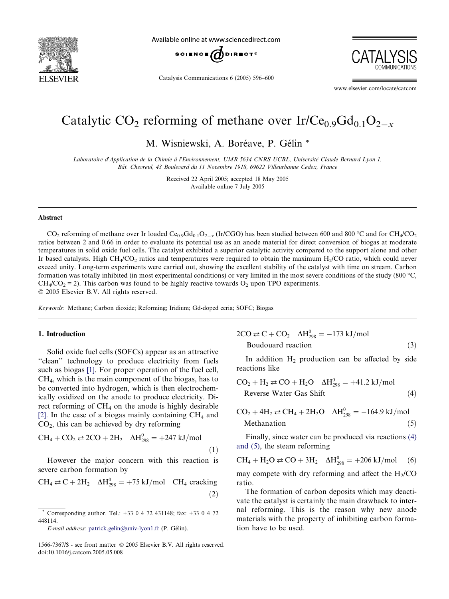<span id="page-0-0"></span>

Available online at www.sciencedirect.com



Catalysis Communications 6 (2005) 596–600

www.elsevier.com/locate/catcom

# Catalytic CO<sub>2</sub> reforming of methane over Ir/Ce<sub>0.9</sub>Gd<sub>0.1</sub>O<sub>2x</sub>

M. Wisniewski, A. Boréave, P. Gélin \*

Laboratoire d'Application de la Chimie à l'Environnement, UMR 5634 CNRS UCBL, Université Claude Bernard Lyon 1, Bât. Chevreul, 43 Boulevard du 11 Novembre 1918, 69622 Villeurbanne Cedex, France

> Received 22 April 2005; accepted 18 May 2005 Available online 7 July 2005

#### Abstract

CO<sub>2</sub> reforming of methane over Ir loaded Ce<sub>0.9</sub>Gd<sub>0.1</sub>O<sub>2-x</sub> (Ir/CGO) has been studied between 600 and 800 °C and for CH<sub>4</sub>/CO<sub>2</sub> ratios between 2 and 0.66 in order to evaluate its potential use as an anode material for direct conversion of biogas at moderate temperatures in solid oxide fuel cells. The catalyst exhibited a superior catalytic activity compared to the support alone and other Ir based catalysts. High  $CH_4/CO_2$  ratios and temperatures were required to obtain the maximum  $H_2/CO$  ratio, which could never exceed unity. Long-term experiments were carried out, showing the excellent stability of the catalyst with time on stream. Carbon formation was totally inhibited (in most experimental conditions) or very limited in the most severe conditions of the study (800  $^{\circ}$ C,  $CH<sub>4</sub>/CO<sub>2</sub> = 2$ ). This carbon was found to be highly reactive towards O<sub>2</sub> upon TPO experiments. © 2005 Elsevier B.V. All rights reserved.

Keywords: Methane; Carbon dioxide; Reforming; Iridium; Gd-doped ceria; SOFC; Biogas

#### 1. Introduction

Solid oxide fuel cells (SOFCs) appear as an attractive "clean" technology to produce electricity from fuels such as biogas [\[1\].](#page-4-0) For proper operation of the fuel cell, CH4, which is the main component of the biogas, has to be converted into hydrogen, which is then electrochemically oxidized on the anode to produce electricity. Direct reforming of CH<sub>4</sub> on the anode is highly desirable [\[2\]](#page-4-0). In the case of a biogas mainly containing  $CH<sub>4</sub>$  and  $CO<sub>2</sub>$ , this can be achieved by dry reforming

$$
CH_4 + CO_2 \rightleftarrows 2CO + 2H_2 \quad \Delta H_{298}^0 = +247 \text{ kJ/mol}
$$
\n(1)

However the major concern with this reaction is severe carbon formation by

$$
CH_4 \rightleftarrows C + 2H_2 \quad \Delta H_{298}^0 = +75 \text{ kJ/mol} \quad CH_4 \text{ cracking}
$$
\n(2)

E-mail address: [patrick.gelin@univ-lyon1.fr](mailto:patrick.gelin@univ-lyon1.fr) (P. Gélin).

 $2CO \rightleftarrows C + CO_2$   $\Delta H_{298}^0 = -173$  kJ/mol  $Boudouard reaction$  (3)

In addition  $H_2$  production can be affected by side reactions like

$$
CO2 + H2 \rightleftharpoons CO + H2O \quad \Delta H2980 = +41.2 \text{ kJ/mol}
$$
  
Reverse Water Gas Shift (4)

$$
CO2 + 4H2 \rightleftarrows CH4 + 2H2O \quad \Delta H2980 = -164.9 \text{ kJ/mol}
$$
  
Method (5)

Finally, since water can be produced via reactions (4) and (5), the steam reforming

$$
CH_4 + H_2O \rightleftarrows CO + 3H_2 \quad \Delta H_{298}^0 = +206 \text{ kJ/mol} \quad (6)
$$

may compete with dry reforming and affect the  $H<sub>2</sub>/CO$ ratio.

The formation of carbon deposits which may deactivate the catalyst is certainly the main drawback to internal reforming. This is the reason why new anode materials with the property of inhibiting carbon formation have to be used.

<sup>\*</sup> Corresponding author. Tel.: +33 0 4 72 431148; fax: +33 0 4 72 448114.

<sup>1566-7367/\$ -</sup> see front matter © 2005 Elsevier B.V. All rights reserved. doi:10.1016/j.catcom.2005.05.008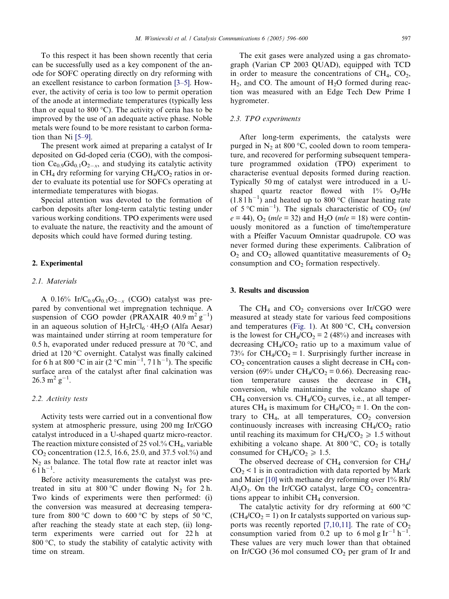To this respect it has been shown recently that ceria can be successfully used as a key component of the anode for SOFC operating directly on dry reforming with an excellent resistance to carbon formation [\[3–5\].](#page-4-0) However, the activity of ceria is too low to permit operation of the anode at intermediate temperatures (typically less than or equal to 800  $^{\circ}$ C). The activity of ceria has to be improved by the use of an adequate active phase. Noble metals were found to be more resistant to carbon formation than Ni [\[5–9\]](#page-4-0).

The present work aimed at preparing a catalyst of Ir deposited on Gd-doped ceria (CGO), with the composition  $Ce_{0.9}Gd_{0.1}O_{2-x}$ , and studying its catalytic activity in  $CH_4$  dry reforming for varying  $CH_4/CO_2$  ratios in order to evaluate its potential use for SOFCs operating at intermediate temperatures with biogas.

Special attention was devoted to the formation of carbon deposits after long-term catalytic testing under various working conditions. TPO experiments were used to evaluate the nature, the reactivity and the amount of deposits which could have formed during testing.

## 2. Experimental

### 2.1. Materials

A 0.16% Ir/C<sub>0.9</sub>G<sub>0.1</sub>O<sub>2-x</sub> (CGO) catalyst was prepared by conventional wet impregnation technique. A suspension of CGO powder (PRAXAIR  $40.9 \text{ m}^2 \text{ g}^{-1}$ ) in an aqueous solution of  $H_2IrCl_6 \tcdot 4H_2O$  (Alfa Aesar) was maintained under stirring at room temperature for 0.5 h, evaporated under reduced pressure at 70  $^{\circ}$ C, and dried at 120 °C overnight. Catalyst was finally calcined for 6 h at 800 °C in air (2 °C min<sup>-1</sup>, 7 l h<sup>-1</sup>). The specific surface area of the catalyst after final calcination was  $26.3 \text{ m}^2 \text{ g}^{-1}$ .

## 2.2. Activity tests

Activity tests were carried out in a conventional flow system at atmospheric pressure, using 200 mg Ir/CGO catalyst introduced in a U-shaped quartz micro-reactor. The reaction mixture consisted of 25 vol.%  $CH_4$ , variable  $CO_2$  concentration (12.5, 16.6, 25.0, and 37.5 vol.%) and  $N_2$  as balance. The total flow rate at reactor inlet was  $61h^{-1}$ .

Before activity measurements the catalyst was pretreated in situ at 800 °C under flowing  $N_2$  for 2 h. Two kinds of experiments were then performed: (i) the conversion was measured at decreasing temperature from 800 °C down to 600 °C by steps of 50 °C, after reaching the steady state at each step, (ii) longterm experiments were carried out for 22 h at 800 $\degree$ C, to study the stability of catalytic activity with time on stream.

The exit gases were analyzed using a gas chromatograph (Varian CP 2003 QUAD), equipped with TCD in order to measure the concentrations of  $CH<sub>4</sub>, CO<sub>2</sub>$ ,  $H_2$ , and CO. The amount of  $H_2O$  formed during reaction was measured with an Edge Tech Dew Prime I hygrometer.

#### 2.3. TPO experiments

After long-term experiments, the catalysts were purged in  $N_2$  at 800 °C, cooled down to room temperature, and recovered for performing subsequent temperature programmed oxidation (TPO) experiment to characterise eventual deposits formed during reaction. Typically 50 mg of catalyst were introduced in a Ushaped quartz reactor flowed with  $1\%$  O<sub>2</sub>/He  $(1.8 1 h^{-1})$  and heated up to 800 °C (linear heating rate of 5 °C min<sup>-1</sup>). The signals characteristic of CO<sub>2</sub> (m/  $e = 44$ ),  $O_2$  (*m*/ $e = 32$ ) and H<sub>2</sub>O (*m*/ $e = 18$ ) were continuously monitored as a function of time/temperature with a Pfeiffer Vacuum Omnistar quadrupole. CO was never formed during these experiments. Calibration of  $O_2$  and  $CO_2$  allowed quantitative measurements of  $O_2$ consumption and  $CO<sub>2</sub>$  formation respectively.

### 3. Results and discussion

The CH<sub>4</sub> and CO<sub>2</sub> conversions over Ir/CGO were measured at steady state for various feed compositions and temperatures ([Fig. 1\)](#page-2-0). At 800  $^{\circ}$ C, CH<sub>4</sub> conversion is the lowest for  $CH_4/CO_2 = 2$  (48%) and increases with decreasing  $CH<sub>4</sub>/CO<sub>2</sub>$  ratio up to a maximum value of 73% for  $CH_4/CO_2 = 1$ . Surprisingly further increase in  $CO<sub>2</sub>$  concentration causes a slight decrease in CH<sub>4</sub> conversion (69% under  $CH_4/CO_2 = 0.66$ ). Decreasing reaction temperature causes the decrease in CH4 conversion, while maintaining the volcano shape of  $CH_4$  conversion vs.  $CH_4/CO_2$  curves, i.e., at all temperatures CH<sub>4</sub> is maximum for CH<sub>4</sub>/CO<sub>2</sub> = 1. On the contrary to  $CH_4$ , at all temperatures,  $CO_2$  conversion continuously increases with increasing  $CH<sub>4</sub>/CO<sub>2</sub>$  ratio until reaching its maximum for  $CH_4/CO_2 \ge 1.5$  without exhibiting a volcano shape. At 800  $\degree$ C, CO<sub>2</sub> is totally consumed for  $CH<sub>4</sub>/CO<sub>2</sub> \ge 1.5$ .

The observed decrease of  $CH_4$  conversion for  $CH_4/$  $CO<sub>2</sub> < 1$  is in contradiction with data reported by Mark and Maier [\[10\]](#page-4-0) with methane dry reforming over 1% Rh/  $Al_2O_3$ . On the Ir/CGO catalyst, large  $CO_2$  concentrations appear to inhibit  $CH<sub>4</sub>$  conversion.

The catalytic activity for dry reforming at  $600^{\circ}$ C  $(CH_4/CO_2 = 1)$  on Ir catalysts supported on various sup-ports was recently reported [\[7,10,11\]](#page-4-0). The rate of  $CO<sub>2</sub>$ consumption varied from 0.2 up to 6 mol g Ir<sup>-1</sup> h<sup>-1</sup>. These values are very much lower than that obtained on Ir/CGO (36 mol consumed  $CO<sub>2</sub>$  per gram of Ir and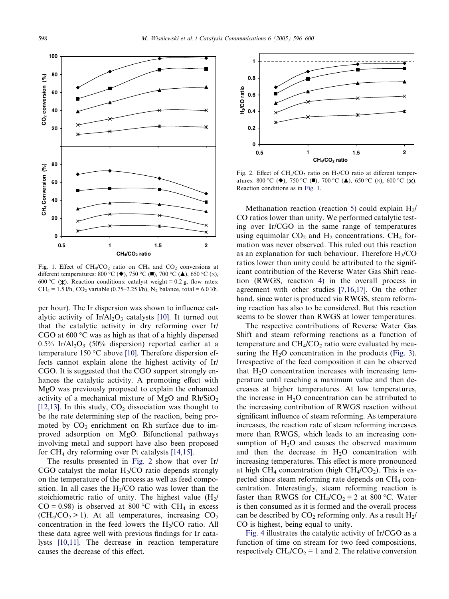<span id="page-2-0"></span>

Fig. 1. Effect of  $CH_4/CO_2$  ratio on  $CH_4$  and  $CO_2$  conversions at different temperatures: 800 °C ( $\blacklozenge$ ), 750 °C ( $\blacksquare$ ), 700 °C ( $\blacktriangle$ ), 650 °C ( $\times$ ), 600 °C ( $\chi$ ). Reaction conditions: catalyst weight = 0.2 g, flow rates: CH<sub>4</sub> = 1.5 l/h, CO<sub>2</sub> variable (0.75–2.25 l/h), N<sub>2</sub> balance, total = 6.0 l/h.

per hour). The Ir dispersion was shown to influence cat-alytic activity of Ir/Al<sub>2</sub>O<sub>3</sub> catalysts [\[10\]](#page-4-0). It turned out that the catalytic activity in dry reforming over Ir/ CGO at  $600^{\circ}$ C was as high as that of a highly dispersed  $0.5\%$  Ir/Al<sub>2</sub>O<sub>3</sub> (50% dispersion) reported earlier at a temperature 150  $\degree$ C above [\[10\]](#page-4-0). Therefore dispersion effects cannot explain alone the highest activity of Ir/ CGO. It is suggested that the CGO support strongly enhances the catalytic activity. A promoting effect with MgO was previously proposed to explain the enhanced activity of a mechanical mixture of MgO and  $Rh/SiO<sub>2</sub>$ [\[12,13\].](#page-4-0) In this study,  $CO<sub>2</sub>$  dissociation was thought to be the rate determining step of the reaction, being promoted by  $CO<sub>2</sub>$  enrichment on Rh surface due to improved adsorption on MgO. Bifunctional pathways involving metal and support have also been proposed for  $CH_4$  dry reforming over Pt catalysts [\[14,15\].](#page-4-0)

The results presented in Fig. 2 show that over Ir/ CGO catalyst the molar  $H<sub>2</sub>/CO$  ratio depends strongly on the temperature of the process as well as feed composition. In all cases the  $H<sub>2</sub>/CO$  ratio was lower than the stoichiometric ratio of unity. The highest value  $(H_2)$  $CO = 0.98$ ) is observed at 800 °C with CH<sub>4</sub> in excess  $(CH_4/CO_2 > 1)$ . At all temperatures, increasing  $CO_2$ concentration in the feed lowers the  $H<sub>2</sub>/CO$  ratio. All these data agree well with previous findings for Ir catalysts [\[10,11\].](#page-4-0) The decrease in reaction temperature causes the decrease of this effect.



Fig. 2. Effect of  $CH_4/CO_2$  ratio on  $H_2/CO$  ratio at different temperatures: 800 °C ( $\blacklozenge$ ), 750 °C ( $\blacksquare$ ), 700 °C ( $\blacktriangle$ ), 650 °C ( $\times$ ), 600 °C ( $\times$ ). Reaction conditions as in Fig. 1.

Methanation reaction (reaction [5\)](#page-0-0) could explain  $H_2$ / CO ratios lower than unity. We performed catalytic testing over Ir/CGO in the same range of temperatures using equimolar  $CO<sub>2</sub>$  and  $H<sub>2</sub>$  concentrations. CH<sub>4</sub> formation was never observed. This ruled out this reaction as an explanation for such behaviour. Therefore  $H<sub>2</sub>/CO$ ratios lower than unity could be attributed to the significant contribution of the Reverse Water Gas Shift reaction (RWGS, reaction [4](#page-0-0)) in the overall process in agreement with other studies [\[7,16,17\]](#page-4-0). On the other hand, since water is produced via RWGS, steam reforming reaction has also to be considered. But this reaction seems to be slower than RWGS at lower temperatures.

The respective contributions of Reverse Water Gas Shift and steam reforming reactions as a function of temperature and  $CH<sub>4</sub>/CO<sub>2</sub>$  ratio were evaluated by measuring the  $H_2O$  concentration in the products ([Fig. 3\)](#page-3-0). Irrespective of the feed composition it can be observed that  $H<sub>2</sub>O$  concentration increases with increasing temperature until reaching a maximum value and then decreases at higher temperatures. At low temperatures, the increase in  $H_2O$  concentration can be attributed to the increasing contribution of RWGS reaction without significant influence of steam reforming. As temperature increases, the reaction rate of steam reforming increases more than RWGS, which leads to an increasing consumption of  $H<sub>2</sub>O$  and causes the observed maximum and then the decrease in  $H<sub>2</sub>O$  concentration with increasing temperatures. This effect is more pronounced at high CH<sub>4</sub> concentration (high CH<sub>4</sub>/CO<sub>2</sub>). This is expected since steam reforming rate depends on  $CH_4$  concentration. Interestingly, steam reforming reaction is faster than RWGS for  $CH_4/CO_2 = 2$  at 800 °C. Water is then consumed as it is formed and the overall process can be described by  $CO<sub>2</sub>$  reforming only. As a result  $H<sub>2</sub>$ / CO is highest, being equal to unity.

[Fig. 4](#page-3-0) illustrates the catalytic activity of Ir/CGO as a function of time on stream for two feed compositions, respectively  $CH_4/CO_2 = 1$  and 2. The relative conversion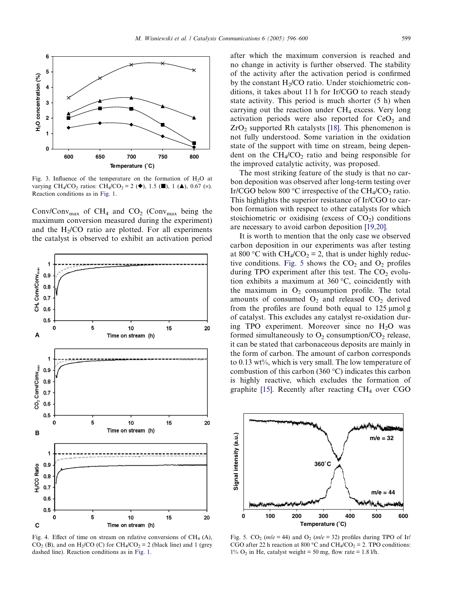<span id="page-3-0"></span>

Fig. 3. Influence of the temperature on the formation of  $H_2O$  at varying CH<sub>4</sub>/CO<sub>2</sub> ratios: CH<sub>4</sub>/CO<sub>2</sub> = 2 ( $\blacklozenge$ ), 1.5 ( $\blacksquare$ ), 1 ( $\blacktriangle$ ), 0.67 (x). Reaction conditions as in [Fig. 1](#page-2-0).

Conv/Conv<sub>max</sub> of CH<sub>4</sub> and CO<sub>2</sub> (Conv<sub>max</sub> being the maximum conversion measured during the experiment) and the  $H<sub>2</sub>/CO$  ratio are plotted. For all experiments the catalyst is observed to exhibit an activation period



Fig. 4. Effect of time on stream on relative conversions of  $CH<sub>4</sub>$  (A), CO<sub>2</sub> (B), and on H<sub>2</sub>/CO (C) for CH<sub>4</sub>/CO<sub>2</sub> = 2 (black line) and 1 (grey dashed line). Reaction conditions as in [Fig. 1.](#page-2-0)

after which the maximum conversion is reached and no change in activity is further observed. The stability of the activity after the activation period is confirmed by the constant  $H<sub>2</sub>/CO$  ratio. Under stoichiometric conditions, it takes about 11 h for Ir/CGO to reach steady state activity. This period is much shorter (5 h) when carrying out the reaction under  $CH<sub>4</sub>$  excess. Very long activation periods were also reported for  $CeO<sub>2</sub>$  and  $ZrO<sub>2</sub>$  supported Rh catalysts [\[18\]](#page-4-0). This phenomenon is not fully understood. Some variation in the oxidation state of the support with time on stream, being dependent on the  $CH<sub>4</sub>/CO<sub>2</sub>$  ratio and being responsible for the improved catalytic activity, was proposed.

The most striking feature of the study is that no carbon deposition was observed after long-term testing over Ir/CGO below 800 °C irrespective of the CH<sub>4</sub>/CO<sub>2</sub> ratio. This highlights the superior resistance of Ir/CGO to carbon formation with respect to other catalysts for which stoichiometric or oxidising (excess of  $CO<sub>2</sub>$ ) conditions are necessary to avoid carbon deposition [\[19,20\].](#page-4-0)

It is worth to mention that the only case we observed carbon deposition in our experiments was after testing at 800 °C with  $CH_4/CO_2 = 2$ , that is under highly reductive conditions. Fig. 5 shows the  $CO<sub>2</sub>$  and  $O<sub>2</sub>$  profiles during TPO experiment after this test. The  $CO<sub>2</sub>$  evolution exhibits a maximum at  $360^{\circ}$ C, coincidently with the maximum in  $O_2$  consumption profile. The total amounts of consumed  $O_2$  and released  $CO_2$  derived from the profiles are found both equal to  $125 \mu$ mol g of catalyst. This excludes any catalyst re-oxidation during TPO experiment. Moreover since no  $H<sub>2</sub>O$  was formed simultaneously to  $O_2$  consumption/CO<sub>2</sub> release, it can be stated that carbonaceous deposits are mainly in the form of carbon. The amount of carbon corresponds to 0.13 wt%, which is very small. The low temperature of combustion of this carbon (360 $\degree$ C) indicates this carbon is highly reactive, which excludes the formation of graphite  $[15]$ . Recently after reacting CH<sub>4</sub> over CGO



Fig. 5. CO<sub>2</sub> ( $m/e = 44$ ) and O<sub>2</sub> ( $m/e = 32$ ) profiles during TPO of Ir/ CGO after 22 h reaction at 800 °C and CH<sub>4</sub>/CO<sub>2</sub> = 2. TPO conditions:  $1\%$  O<sub>2</sub> in He, catalyst weight = 50 mg, flow rate = 1.8 l/h.